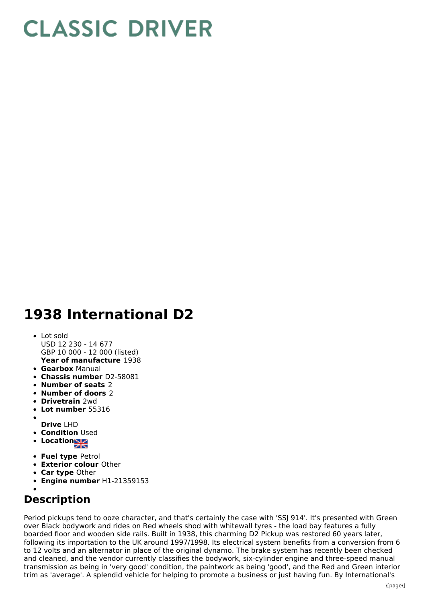## **CLASSIC DRIVER**

## **1938 International D2**

## **Year of manufacture** 1938 Lot sold USD 12 230 - 14 677 GBP 10 000 - 12 000 (listed)

- **Gearbox** Manual
- **Chassis number** D2-58081
- **Number of seats** 2
- **Number of doors** 2
- **Drivetrain** 2wd
- **Lot number** 55316
- **Drive** LHD
- **Condition** Used
- **Location**
- **Fuel type** Petrol
- **Exterior colour** Other
- **Car type** Other
- **Engine number** H1-21359153

## **Description**

Period pickups tend to ooze character, and that's certainly the case with 'SSJ 914'. It's presented with Green over Black bodywork and rides on Red wheels shod with whitewall tyres - the load bay features a fully boarded floor and wooden side rails. Built in 1938, this charming D2 Pickup was restored 60 years later, following its importation to the UK around 1997/1998. Its electrical system benefits from a conversion from 6 to 12 volts and an alternator in place of the original dynamo. The brake system has recently been checked and cleaned, and the vendor currently classifies the bodywork, six-cylinder engine and three-speed manual transmission as being in 'very good' condition, the paintwork as being 'good', and the Red and Green interior trim as 'average'. A splendid vehicle for helping to promote a business or just having fun. By International's